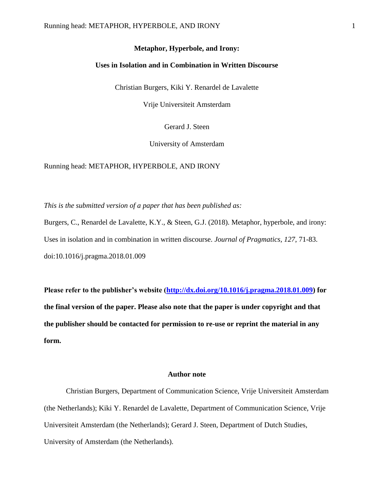## **Uses in Isolation and in Combination in Written Discourse**

Christian Burgers, Kiki Y. Renardel de Lavalette

Vrije Universiteit Amsterdam

Gerard J. Steen

University of Amsterdam

Running head: METAPHOR, HYPERBOLE, AND IRONY

*This is the submitted version of a paper that has been published as:* 

Burgers, C., Renardel de Lavalette, K.Y., & Steen, G.J. (2018). Metaphor, hyperbole, and irony: Uses in isolation and in combination in written discourse. *Journal of Pragmatics, 127*, 71-83. doi:10.1016/j.pragma.2018.01.009

**Please refer to the publisher's website [\(http://dx.doi.org/10.1016/j.pragma.2018.01.009\)](http://dx.doi.org/10.1016/j.pragma.2018.01.009) for the final version of the paper. Please also note that the paper is under copyright and that the publisher should be contacted for permission to re-use or reprint the material in any form.**

## **Author note**

Christian Burgers, Department of Communication Science, Vrije Universiteit Amsterdam (the Netherlands); Kiki Y. Renardel de Lavalette, Department of Communication Science, Vrije Universiteit Amsterdam (the Netherlands); Gerard J. Steen, Department of Dutch Studies, University of Amsterdam (the Netherlands).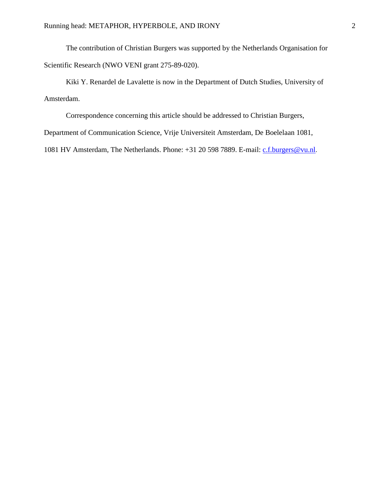The contribution of Christian Burgers was supported by the Netherlands Organisation for Scientific Research (NWO VENI grant 275-89-020).

Kiki Y. Renardel de Lavalette is now in the Department of Dutch Studies, University of Amsterdam.

Correspondence concerning this article should be addressed to Christian Burgers,

Department of Communication Science, Vrije Universiteit Amsterdam, De Boelelaan 1081,

1081 HV Amsterdam, The Netherlands. Phone: +31 20 598 7889. E-mail: [c.f.burgers@vu.nl](mailto:c.f.burgers@vu.nl).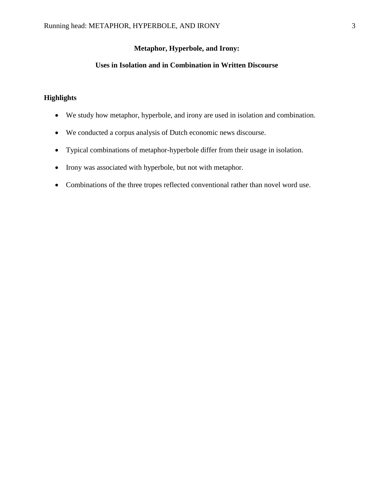# **Uses in Isolation and in Combination in Written Discourse**

# **Highlights**

- We study how metaphor, hyperbole, and irony are used in isolation and combination.
- We conducted a corpus analysis of Dutch economic news discourse.
- Typical combinations of metaphor-hyperbole differ from their usage in isolation.
- Irony was associated with hyperbole, but not with metaphor.
- Combinations of the three tropes reflected conventional rather than novel word use.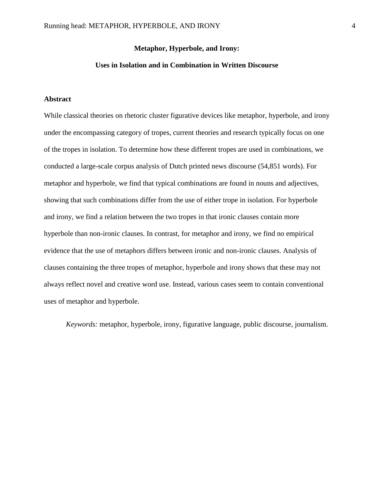## **Uses in Isolation and in Combination in Written Discourse**

## **Abstract**

While classical theories on rhetoric cluster figurative devices like metaphor, hyperbole, and irony under the encompassing category of tropes, current theories and research typically focus on one of the tropes in isolation. To determine how these different tropes are used in combinations, we conducted a large-scale corpus analysis of Dutch printed news discourse (54,851 words). For metaphor and hyperbole, we find that typical combinations are found in nouns and adjectives, showing that such combinations differ from the use of either trope in isolation. For hyperbole and irony, we find a relation between the two tropes in that ironic clauses contain more hyperbole than non-ironic clauses. In contrast, for metaphor and irony, we find no empirical evidence that the use of metaphors differs between ironic and non-ironic clauses. Analysis of clauses containing the three tropes of metaphor, hyperbole and irony shows that these may not always reflect novel and creative word use. Instead, various cases seem to contain conventional uses of metaphor and hyperbole.

*Keywords:* metaphor, hyperbole, irony, figurative language, public discourse, journalism.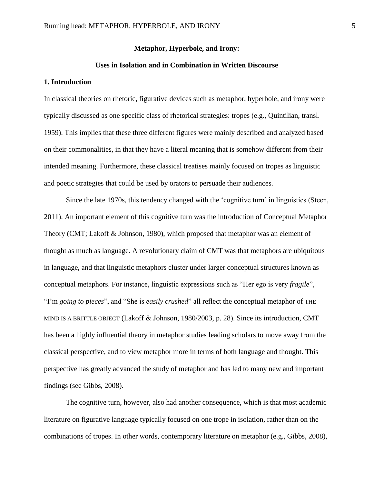### **Uses in Isolation and in Combination in Written Discourse**

## **1. Introduction**

In classical theories on rhetoric, figurative devices such as metaphor, hyperbole, and irony were typically discussed as one specific class of rhetorical strategies: tropes (e.g., Quintilian, transl. 1959). This implies that these three different figures were mainly described and analyzed based on their commonalities, in that they have a literal meaning that is somehow different from their intended meaning. Furthermore, these classical treatises mainly focused on tropes as linguistic and poetic strategies that could be used by orators to persuade their audiences.

Since the late 1970s, this tendency changed with the 'cognitive turn' in linguistics (Steen, 2011). An important element of this cognitive turn was the introduction of Conceptual Metaphor Theory (CMT; Lakoff & Johnson, 1980), which proposed that metaphor was an element of thought as much as language. A revolutionary claim of CMT was that metaphors are ubiquitous in language, and that linguistic metaphors cluster under larger conceptual structures known as conceptual metaphors. For instance, linguistic expressions such as "Her ego is very *fragile*", "I'm *going to pieces*", and "She is *easily crushed*" all reflect the conceptual metaphor of THE MIND IS A BRITTLE OBJECT (Lakoff & Johnson, 1980/2003, p. 28). Since its introduction, CMT has been a highly influential theory in metaphor studies leading scholars to move away from the classical perspective, and to view metaphor more in terms of both language and thought. This perspective has greatly advanced the study of metaphor and has led to many new and important findings (see Gibbs, 2008).

The cognitive turn, however, also had another consequence, which is that most academic literature on figurative language typically focused on one trope in isolation, rather than on the combinations of tropes. In other words, contemporary literature on metaphor (e.g., Gibbs, 2008),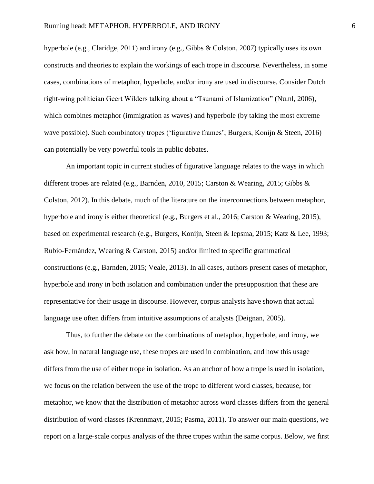hyperbole (e.g., Claridge, 2011) and irony (e.g., Gibbs & Colston, 2007) typically uses its own constructs and theories to explain the workings of each trope in discourse. Nevertheless, in some cases, combinations of metaphor, hyperbole, and/or irony are used in discourse. Consider Dutch right-wing politician Geert Wilders talking about a "Tsunami of Islamization" (Nu.nl, 2006), which combines metaphor (immigration as waves) and hyperbole (by taking the most extreme wave possible). Such combinatory tropes ('figurative frames'; Burgers, Konijn & Steen, 2016) can potentially be very powerful tools in public debates.

An important topic in current studies of figurative language relates to the ways in which different tropes are related (e.g., Barnden, 2010, 2015; Carston & Wearing, 2015; Gibbs & Colston, 2012). In this debate, much of the literature on the interconnections between metaphor, hyperbole and irony is either theoretical (e.g., Burgers et al., 2016; Carston & Wearing, 2015), based on experimental research (e.g., Burgers, Konijn, Steen & Iepsma, 2015; Katz & Lee, 1993; Rubio-Fernández, Wearing & Carston, 2015) and/or limited to specific grammatical constructions (e.g., Barnden, 2015; Veale, 2013). In all cases, authors present cases of metaphor, hyperbole and irony in both isolation and combination under the presupposition that these are representative for their usage in discourse. However, corpus analysts have shown that actual language use often differs from intuitive assumptions of analysts (Deignan, 2005).

Thus, to further the debate on the combinations of metaphor, hyperbole, and irony, we ask how, in natural language use, these tropes are used in combination, and how this usage differs from the use of either trope in isolation. As an anchor of how a trope is used in isolation, we focus on the relation between the use of the trope to different word classes, because, for metaphor, we know that the distribution of metaphor across word classes differs from the general distribution of word classes (Krennmayr, 2015; Pasma, 2011). To answer our main questions, we report on a large-scale corpus analysis of the three tropes within the same corpus. Below, we first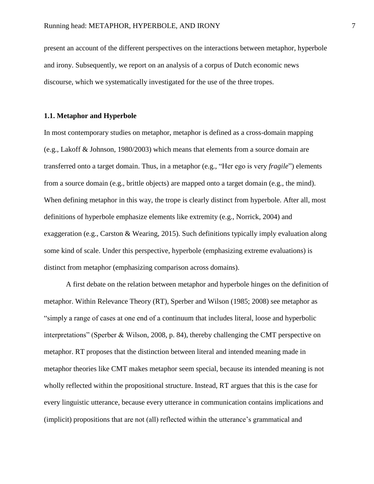present an account of the different perspectives on the interactions between metaphor, hyperbole and irony. Subsequently, we report on an analysis of a corpus of Dutch economic news discourse, which we systematically investigated for the use of the three tropes.

## **1.1. Metaphor and Hyperbole**

In most contemporary studies on metaphor, metaphor is defined as a cross-domain mapping (e.g., Lakoff & Johnson, 1980/2003) which means that elements from a source domain are transferred onto a target domain. Thus, in a metaphor (e.g., "Her ego is very *fragile*") elements from a source domain (e.g., brittle objects) are mapped onto a target domain (e.g., the mind). When defining metaphor in this way, the trope is clearly distinct from hyperbole. After all, most definitions of hyperbole emphasize elements like extremity (e.g., Norrick, 2004) and exaggeration (e.g., Carston & Wearing, 2015). Such definitions typically imply evaluation along some kind of scale. Under this perspective, hyperbole (emphasizing extreme evaluations) is distinct from metaphor (emphasizing comparison across domains).

A first debate on the relation between metaphor and hyperbole hinges on the definition of metaphor. Within Relevance Theory (RT), Sperber and Wilson (1985; 2008) see metaphor as "simply a range of cases at one end of a continuum that includes literal, loose and hyperbolic interpretations" (Sperber & Wilson, 2008, p. 84), thereby challenging the CMT perspective on metaphor. RT proposes that the distinction between literal and intended meaning made in metaphor theories like CMT makes metaphor seem special, because its intended meaning is not wholly reflected within the propositional structure. Instead, RT argues that this is the case for every linguistic utterance, because every utterance in communication contains implications and (implicit) propositions that are not (all) reflected within the utterance's grammatical and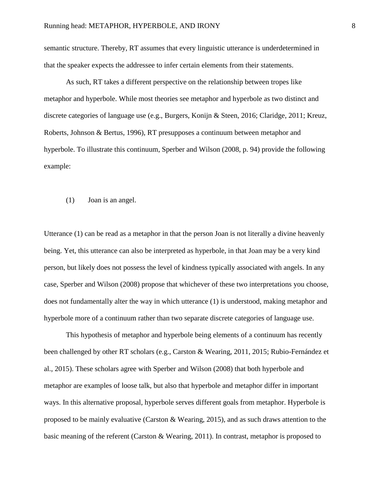semantic structure. Thereby, RT assumes that every linguistic utterance is underdetermined in that the speaker expects the addressee to infer certain elements from their statements.

As such, RT takes a different perspective on the relationship between tropes like metaphor and hyperbole. While most theories see metaphor and hyperbole as two distinct and discrete categories of language use (e.g., Burgers, Konijn & Steen, 2016; Claridge, 2011; Kreuz, Roberts, Johnson & Bertus, 1996), RT presupposes a continuum between metaphor and hyperbole. To illustrate this continuum, Sperber and Wilson (2008, p. 94) provide the following example:

(1) Joan is an angel.

Utterance (1) can be read as a metaphor in that the person Joan is not literally a divine heavenly being. Yet, this utterance can also be interpreted as hyperbole, in that Joan may be a very kind person, but likely does not possess the level of kindness typically associated with angels. In any case, Sperber and Wilson (2008) propose that whichever of these two interpretations you choose, does not fundamentally alter the way in which utterance (1) is understood, making metaphor and hyperbole more of a continuum rather than two separate discrete categories of language use.

This hypothesis of metaphor and hyperbole being elements of a continuum has recently been challenged by other RT scholars (e.g., Carston & Wearing, 2011, 2015; Rubio-Fernández et al., 2015). These scholars agree with Sperber and Wilson (2008) that both hyperbole and metaphor are examples of loose talk, but also that hyperbole and metaphor differ in important ways. In this alternative proposal, hyperbole serves different goals from metaphor. Hyperbole is proposed to be mainly evaluative (Carston & Wearing, 2015), and as such draws attention to the basic meaning of the referent (Carston & Wearing, 2011). In contrast, metaphor is proposed to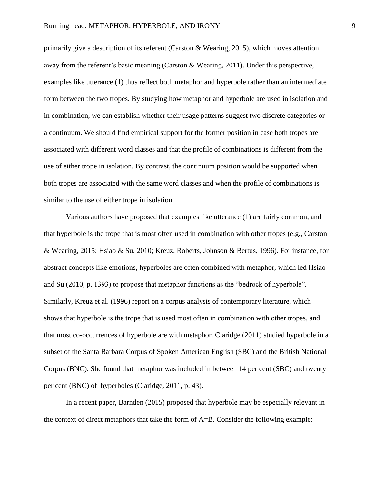primarily give a description of its referent (Carston & Wearing, 2015), which moves attention away from the referent's basic meaning (Carston & Wearing, 2011). Under this perspective, examples like utterance (1) thus reflect both metaphor and hyperbole rather than an intermediate form between the two tropes. By studying how metaphor and hyperbole are used in isolation and in combination, we can establish whether their usage patterns suggest two discrete categories or a continuum. We should find empirical support for the former position in case both tropes are associated with different word classes and that the profile of combinations is different from the use of either trope in isolation. By contrast, the continuum position would be supported when both tropes are associated with the same word classes and when the profile of combinations is similar to the use of either trope in isolation.

Various authors have proposed that examples like utterance (1) are fairly common, and that hyperbole is the trope that is most often used in combination with other tropes (e.g., Carston & Wearing, 2015; Hsiao & Su, 2010; Kreuz, Roberts, Johnson & Bertus, 1996). For instance, for abstract concepts like emotions, hyperboles are often combined with metaphor, which led Hsiao and Su (2010, p. 1393) to propose that metaphor functions as the "bedrock of hyperbole". Similarly, Kreuz et al. (1996) report on a corpus analysis of contemporary literature, which shows that hyperbole is the trope that is used most often in combination with other tropes, and that most co-occurrences of hyperbole are with metaphor. Claridge (2011) studied hyperbole in a subset of the Santa Barbara Corpus of Spoken American English (SBC) and the British National Corpus (BNC). She found that metaphor was included in between 14 per cent (SBC) and twenty per cent (BNC) of hyperboles (Claridge, 2011, p. 43).

In a recent paper, Barnden (2015) proposed that hyperbole may be especially relevant in the context of direct metaphors that take the form of A=B. Consider the following example: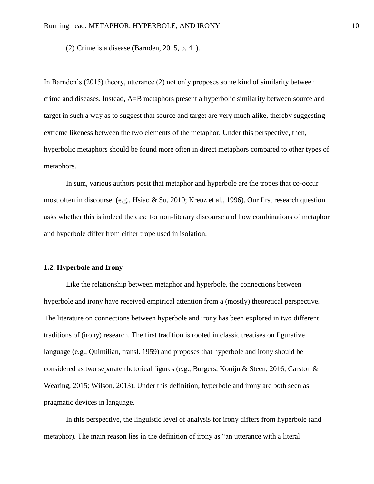(2) Crime is a disease (Barnden, 2015, p. 41).

In Barnden's (2015) theory, utterance (2) not only proposes some kind of similarity between crime and diseases. Instead, A=B metaphors present a hyperbolic similarity between source and target in such a way as to suggest that source and target are very much alike, thereby suggesting extreme likeness between the two elements of the metaphor. Under this perspective, then, hyperbolic metaphors should be found more often in direct metaphors compared to other types of metaphors.

In sum, various authors posit that metaphor and hyperbole are the tropes that co-occur most often in discourse (e.g., Hsiao & Su, 2010; Kreuz et al., 1996). Our first research question asks whether this is indeed the case for non-literary discourse and how combinations of metaphor and hyperbole differ from either trope used in isolation.

#### **1.2. Hyperbole and Irony**

Like the relationship between metaphor and hyperbole, the connections between hyperbole and irony have received empirical attention from a (mostly) theoretical perspective. The literature on connections between hyperbole and irony has been explored in two different traditions of (irony) research. The first tradition is rooted in classic treatises on figurative language (e.g., Quintilian, transl. 1959) and proposes that hyperbole and irony should be considered as two separate rhetorical figures (e.g., Burgers, Konijn & Steen, 2016; Carston & Wearing, 2015; Wilson, 2013). Under this definition, hyperbole and irony are both seen as pragmatic devices in language.

In this perspective, the linguistic level of analysis for irony differs from hyperbole (and metaphor). The main reason lies in the definition of irony as "an utterance with a literal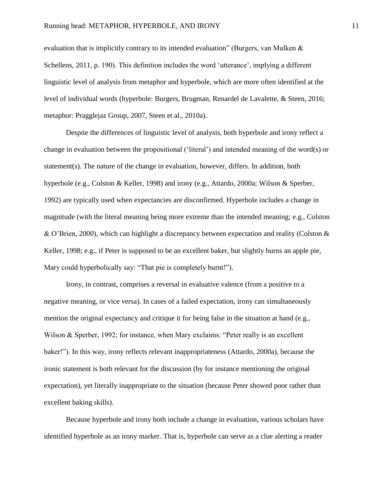evaluation that is implicitly contrary to its intended evaluation" (Burgers, van Mulken  $\&$ Schellens, 2011, p. 190). This definition includes the word 'utterance', implying a different linguistic level of analysis from metaphor and hyperbole, which are more often identified at the level of individual words (hyperbole: Burgers, Brugman, Renardel de Lavalette, & Steen, 2016; metaphor: Pragglejaz Group, 2007, Steen et al., 2010a).

Despite the differences of linguistic level of analysis, both hyperbole and irony reflect a change in evaluation between the propositional ('literal') and intended meaning of the word(s) or statement(s). The nature of the change in evaluation, however, differs. In addition, both hyperbole (e.g., Colston & Keller, 1998) and irony (e.g., Attardo, 2000a; Wilson & Sperber, 1992) are typically used when expectancies are disconfirmed. Hyperbole includes a change in magnitude (with the literal meaning being more extreme than the intended meaning; e.g., Colston & O'Brien, 2000), which can highlight a discrepancy between expectation and reality (Colston  $\&$ Keller, 1998; e.g., if Peter is supposed to be an excellent baker, but slightly burns an apple pie, Mary could hyperbolically say: "That pie is completely burnt!").

Irony, in contrast, comprises a reversal in evaluative valence (from a positive to a negative meaning, or vice versa). In cases of a failed expectation, irony can simultaneously mention the original expectancy and critique it for being false in the situation at hand (e.g., Wilson & Sperber, 1992; for instance, when Mary exclaims: "Peter really is an excellent baker!"). In this way, irony reflects relevant inappropriateness (Attardo, 2000a), because the ironic statement is both relevant for the discussion (by for instance mentioning the original expectation), yet literally inappropriate to the situation (because Peter showed poor rather than excellent baking skills).

Because hyperbole and irony both include a change in evaluation, various scholars have identified hyperbole as an irony marker. That is, hyperbole can serve as a clue alerting a reader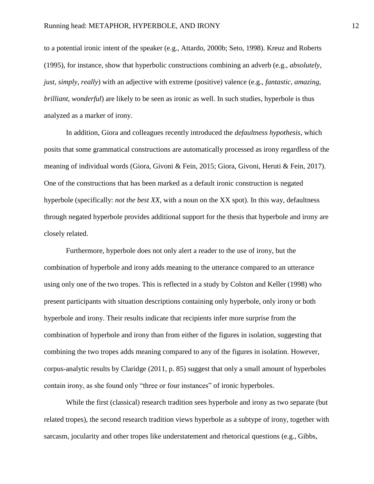to a potential ironic intent of the speaker (e.g., Attardo, 2000b; Seto, 1998). Kreuz and Roberts (1995), for instance, show that hyperbolic constructions combining an adverb (e.g., *absolutely*, *just*, *simply*, *really*) with an adjective with extreme (positive) valence (e.g., *fantastic*, *amazing*, *brilliant*, *wonderful*) are likely to be seen as ironic as well. In such studies, hyperbole is thus analyzed as a marker of irony.

In addition, Giora and colleagues recently introduced the *defaultness hypothesis*, which posits that some grammatical constructions are automatically processed as irony regardless of the meaning of individual words (Giora, Givoni & Fein, 2015; Giora, Givoni, Heruti & Fein, 2017). One of the constructions that has been marked as a default ironic construction is negated hyperbole (specifically: *not the best XX*, with a noun on the XX spot). In this way, defaultness through negated hyperbole provides additional support for the thesis that hyperbole and irony are closely related.

Furthermore, hyperbole does not only alert a reader to the use of irony, but the combination of hyperbole and irony adds meaning to the utterance compared to an utterance using only one of the two tropes. This is reflected in a study by Colston and Keller (1998) who present participants with situation descriptions containing only hyperbole, only irony or both hyperbole and irony. Their results indicate that recipients infer more surprise from the combination of hyperbole and irony than from either of the figures in isolation, suggesting that combining the two tropes adds meaning compared to any of the figures in isolation. However, corpus-analytic results by Claridge (2011, p. 85) suggest that only a small amount of hyperboles contain irony, as she found only "three or four instances" of ironic hyperboles.

While the first (classical) research tradition sees hyperbole and irony as two separate (but related tropes), the second research tradition views hyperbole as a subtype of irony, together with sarcasm, jocularity and other tropes like understatement and rhetorical questions (e.g., Gibbs,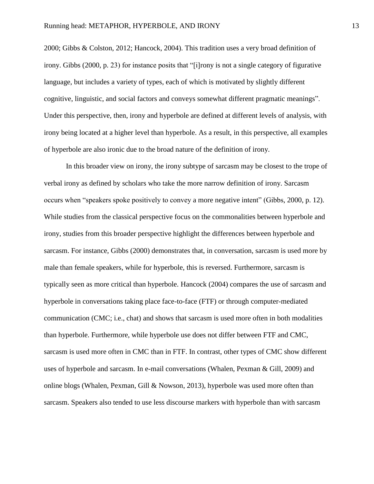2000; Gibbs & Colston, 2012; Hancock, 2004). This tradition uses a very broad definition of irony. Gibbs (2000, p. 23) for instance posits that "[i]rony is not a single category of figurative language, but includes a variety of types, each of which is motivated by slightly different cognitive, linguistic, and social factors and conveys somewhat different pragmatic meanings". Under this perspective, then, irony and hyperbole are defined at different levels of analysis, with irony being located at a higher level than hyperbole. As a result, in this perspective, all examples of hyperbole are also ironic due to the broad nature of the definition of irony.

In this broader view on irony, the irony subtype of sarcasm may be closest to the trope of verbal irony as defined by scholars who take the more narrow definition of irony. Sarcasm occurs when "speakers spoke positively to convey a more negative intent" (Gibbs, 2000, p. 12). While studies from the classical perspective focus on the commonalities between hyperbole and irony, studies from this broader perspective highlight the differences between hyperbole and sarcasm. For instance, Gibbs (2000) demonstrates that, in conversation, sarcasm is used more by male than female speakers, while for hyperbole, this is reversed. Furthermore, sarcasm is typically seen as more critical than hyperbole. Hancock (2004) compares the use of sarcasm and hyperbole in conversations taking place face-to-face (FTF) or through computer-mediated communication (CMC; i.e., chat) and shows that sarcasm is used more often in both modalities than hyperbole. Furthermore, while hyperbole use does not differ between FTF and CMC, sarcasm is used more often in CMC than in FTF. In contrast, other types of CMC show different uses of hyperbole and sarcasm. In e-mail conversations (Whalen, Pexman & Gill, 2009) and online blogs (Whalen, Pexman, Gill & Nowson, 2013), hyperbole was used more often than sarcasm. Speakers also tended to use less discourse markers with hyperbole than with sarcasm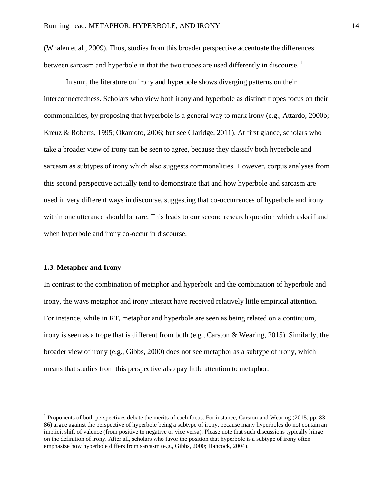(Whalen et al., 2009). Thus, studies from this broader perspective accentuate the differences between sarcasm and hyperbole in that the two tropes are used differently in discourse.<sup>1</sup>

In sum, the literature on irony and hyperbole shows diverging patterns on their interconnectedness. Scholars who view both irony and hyperbole as distinct tropes focus on their commonalities, by proposing that hyperbole is a general way to mark irony (e.g., Attardo, 2000b; Kreuz & Roberts, 1995; Okamoto, 2006; but see Claridge, 2011). At first glance, scholars who take a broader view of irony can be seen to agree, because they classify both hyperbole and sarcasm as subtypes of irony which also suggests commonalities. However, corpus analyses from this second perspective actually tend to demonstrate that and how hyperbole and sarcasm are used in very different ways in discourse, suggesting that co-occurrences of hyperbole and irony within one utterance should be rare. This leads to our second research question which asks if and when hyperbole and irony co-occur in discourse.

## **1.3. Metaphor and Irony**

 $\overline{\phantom{a}}$ 

In contrast to the combination of metaphor and hyperbole and the combination of hyperbole and irony, the ways metaphor and irony interact have received relatively little empirical attention. For instance, while in RT, metaphor and hyperbole are seen as being related on a continuum, irony is seen as a trope that is different from both (e.g., Carston & Wearing, 2015). Similarly, the broader view of irony (e.g., Gibbs, 2000) does not see metaphor as a subtype of irony, which means that studies from this perspective also pay little attention to metaphor.

<sup>&</sup>lt;sup>1</sup> Proponents of both perspectives debate the merits of each focus. For instance, Carston and Wearing (2015, pp. 83-86) argue against the perspective of hyperbole being a subtype of irony, because many hyperboles do not contain an implicit shift of valence (from positive to negative or vice versa). Please note that such discussions typically hinge on the definition of irony. After all, scholars who favor the position that hyperbole is a subtype of irony often emphasize how hyperbole differs from sarcasm (e.g., Gibbs, 2000; Hancock, 2004).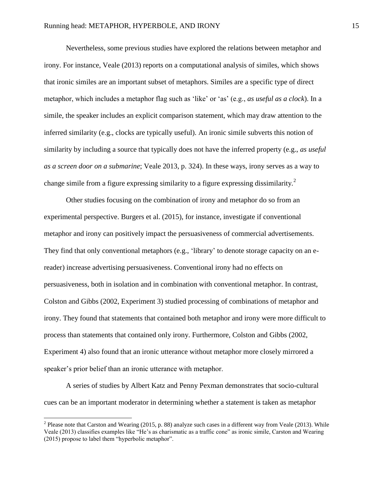Nevertheless, some previous studies have explored the relations between metaphor and irony. For instance, Veale (2013) reports on a computational analysis of similes, which shows that ironic similes are an important subset of metaphors. Similes are a specific type of direct metaphor, which includes a metaphor flag such as 'like' or 'as' (e.g., *as useful as a clock*). In a simile, the speaker includes an explicit comparison statement, which may draw attention to the inferred similarity (e.g., clocks are typically useful). An ironic simile subverts this notion of similarity by including a source that typically does not have the inferred property (e.g., *as useful as a screen door on a submarine*; Veale 2013, p. 324). In these ways, irony serves as a way to change simile from a figure expressing similarity to a figure expressing dissimilarity.<sup>2</sup>

Other studies focusing on the combination of irony and metaphor do so from an experimental perspective. Burgers et al. (2015), for instance, investigate if conventional metaphor and irony can positively impact the persuasiveness of commercial advertisements. They find that only conventional metaphors (e.g., 'library' to denote storage capacity on an ereader) increase advertising persuasiveness. Conventional irony had no effects on persuasiveness, both in isolation and in combination with conventional metaphor. In contrast, Colston and Gibbs (2002, Experiment 3) studied processing of combinations of metaphor and irony. They found that statements that contained both metaphor and irony were more difficult to process than statements that contained only irony. Furthermore, Colston and Gibbs (2002, Experiment 4) also found that an ironic utterance without metaphor more closely mirrored a speaker's prior belief than an ironic utterance with metaphor.

A series of studies by Albert Katz and Penny Pexman demonstrates that socio-cultural cues can be an important moderator in determining whether a statement is taken as metaphor

l

<sup>&</sup>lt;sup>2</sup> Please note that Carston and Wearing (2015, p. 88) analyze such cases in a different way from Veale (2013). While Veale (2013) classifies examples like "He's as charismatic as a traffic cone" as ironic simile, Carston and Wearing (2015) propose to label them "hyperbolic metaphor".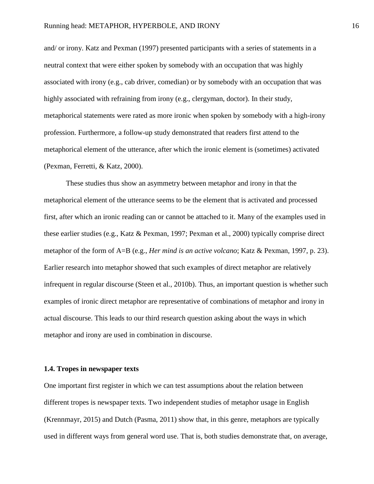and/ or irony. Katz and Pexman (1997) presented participants with a series of statements in a neutral context that were either spoken by somebody with an occupation that was highly associated with irony (e.g., cab driver, comedian) or by somebody with an occupation that was highly associated with refraining from irony (e.g., clergyman, doctor). In their study, metaphorical statements were rated as more ironic when spoken by somebody with a high-irony profession. Furthermore, a follow-up study demonstrated that readers first attend to the metaphorical element of the utterance, after which the ironic element is (sometimes) activated (Pexman, Ferretti, & Katz, 2000).

These studies thus show an asymmetry between metaphor and irony in that the metaphorical element of the utterance seems to be the element that is activated and processed first, after which an ironic reading can or cannot be attached to it. Many of the examples used in these earlier studies (e.g., Katz & Pexman, 1997; Pexman et al., 2000) typically comprise direct metaphor of the form of A=B (e.g., *Her mind is an active volcano*; Katz & Pexman, 1997, p. 23). Earlier research into metaphor showed that such examples of direct metaphor are relatively infrequent in regular discourse (Steen et al., 2010b). Thus, an important question is whether such examples of ironic direct metaphor are representative of combinations of metaphor and irony in actual discourse. This leads to our third research question asking about the ways in which metaphor and irony are used in combination in discourse.

## **1.4. Tropes in newspaper texts**

One important first register in which we can test assumptions about the relation between different tropes is newspaper texts. Two independent studies of metaphor usage in English (Krennmayr, 2015) and Dutch (Pasma, 2011) show that, in this genre, metaphors are typically used in different ways from general word use. That is, both studies demonstrate that, on average,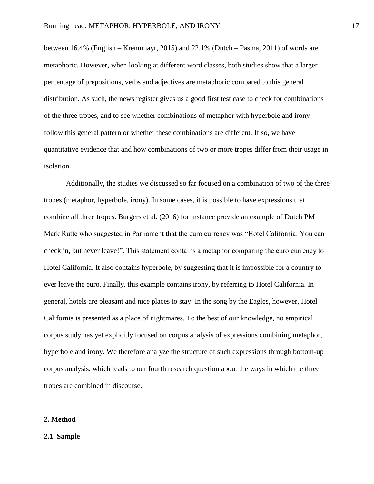between 16.4% (English – Krennmayr, 2015) and 22.1% (Dutch – Pasma, 2011) of words are metaphoric. However, when looking at different word classes, both studies show that a larger percentage of prepositions, verbs and adjectives are metaphoric compared to this general distribution. As such, the news register gives us a good first test case to check for combinations of the three tropes, and to see whether combinations of metaphor with hyperbole and irony follow this general pattern or whether these combinations are different. If so, we have quantitative evidence that and how combinations of two or more tropes differ from their usage in isolation.

Additionally, the studies we discussed so far focused on a combination of two of the three tropes (metaphor, hyperbole, irony). In some cases, it is possible to have expressions that combine all three tropes. Burgers et al. (2016) for instance provide an example of Dutch PM Mark Rutte who suggested in Parliament that the euro currency was "Hotel California: You can check in, but never leave!". This statement contains a metaphor comparing the euro currency to Hotel California. It also contains hyperbole, by suggesting that it is impossible for a country to ever leave the euro. Finally, this example contains irony, by referring to Hotel California. In general, hotels are pleasant and nice places to stay. In the song by the Eagles, however, Hotel California is presented as a place of nightmares. To the best of our knowledge, no empirical corpus study has yet explicitly focused on corpus analysis of expressions combining metaphor, hyperbole and irony. We therefore analyze the structure of such expressions through bottom-up corpus analysis, which leads to our fourth research question about the ways in which the three tropes are combined in discourse.

#### **2. Method**

#### **2.1. Sample**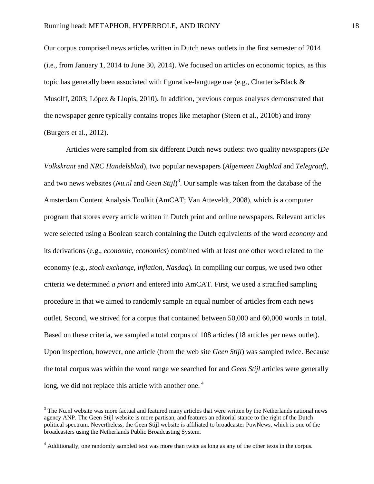Our corpus comprised news articles written in Dutch news outlets in the first semester of 2014 (i.e., from January 1, 2014 to June 30, 2014). We focused on articles on economic topics, as this topic has generally been associated with figurative-language use (e.g., Charteris-Black  $\&$ Musolff, 2003; López & Llopis, 2010). In addition, previous corpus analyses demonstrated that the newspaper genre typically contains tropes like metaphor (Steen et al., 2010b) and irony (Burgers et al., 2012).

Articles were sampled from six different Dutch news outlets: two quality newspapers (*De Volkskrant* and *NRC Handelsblad*), two popular newspapers (*Algemeen Dagblad* and *Telegraaf*), and two news websites (*Nu.nl* and *Geen Stijl*) 3 . Our sample was taken from the database of the Amsterdam Content Analysis Toolkit (AmCAT; Van Atteveldt, 2008), which is a computer program that stores every article written in Dutch print and online newspapers. Relevant articles were selected using a Boolean search containing the Dutch equivalents of the word *economy* and its derivations (e.g., *economic, economics*) combined with at least one other word related to the economy (e.g., *stock exchange, inflation, Nasdaq*). In compiling our corpus, we used two other criteria we determined *a priori* and entered into AmCAT. First, we used a stratified sampling procedure in that we aimed to randomly sample an equal number of articles from each news outlet. Second, we strived for a corpus that contained between 50,000 and 60,000 words in total. Based on these criteria, we sampled a total corpus of 108 articles (18 articles per news outlet). Upon inspection, however, one article (from the web site *Geen Stijl*) was sampled twice. Because the total corpus was within the word range we searched for and *Geen Stijl* articles were generally long, we did not replace this article with another one.<sup>4</sup>

l

<sup>&</sup>lt;sup>3</sup> The Nu.nl website was more factual and featured many articles that were written by the Netherlands national news agency ANP. The Geen Stijl website is more partisan, and features an editorial stance to the right of the Dutch political spectrum. Nevertheless, the Geen Stijl website is affiliated to broadcaster PowNews, which is one of the broadcasters using the Netherlands Public Broadcasting System.

<sup>&</sup>lt;sup>4</sup> Additionally, one randomly sampled text was more than twice as long as any of the other texts in the corpus.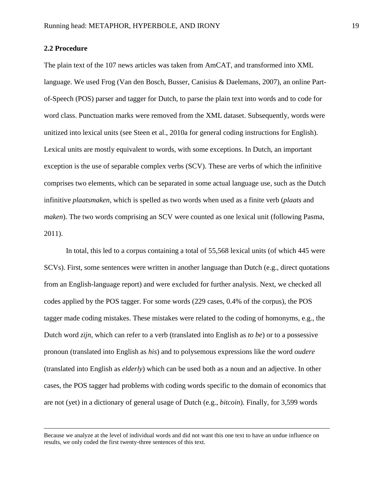## **2.2 Procedure**

 $\overline{\phantom{a}}$ 

The plain text of the 107 news articles was taken from AmCAT, and transformed into XML language. We used Frog (Van den Bosch, Busser, Canisius & Daelemans, 2007), an online Partof-Speech (POS) parser and tagger for Dutch, to parse the plain text into words and to code for word class. Punctuation marks were removed from the XML dataset. Subsequently, words were unitized into lexical units (see Steen et al., 2010a for general coding instructions for English). Lexical units are mostly equivalent to words, with some exceptions. In Dutch, an important exception is the use of separable complex verbs (SCV). These are verbs of which the infinitive comprises two elements, which can be separated in some actual language use, such as the Dutch infinitive *plaatsmaken*, which is spelled as two words when used as a finite verb (*plaats* and *maken*). The two words comprising an SCV were counted as one lexical unit (following Pasma, 2011).

In total, this led to a corpus containing a total of 55,568 lexical units (of which 445 were SCVs). First, some sentences were written in another language than Dutch (e.g., direct quotations from an English-language report) and were excluded for further analysis. Next, we checked all codes applied by the POS tagger. For some words (229 cases, 0.4% of the corpus), the POS tagger made coding mistakes. These mistakes were related to the coding of homonyms, e.g., the Dutch word *zijn*, which can refer to a verb (translated into English as *to be*) or to a possessive pronoun (translated into English as *his*) and to polysemous expressions like the word *oudere*  (translated into English as *elderly*) which can be used both as a noun and an adjective. In other cases, the POS tagger had problems with coding words specific to the domain of economics that are not (yet) in a dictionary of general usage of Dutch (e.g., *bitcoin*). Finally, for 3,599 words

Because we analyze at the level of individual words and did not want this one text to have an undue influence on results, we only coded the first twenty-three sentences of this text.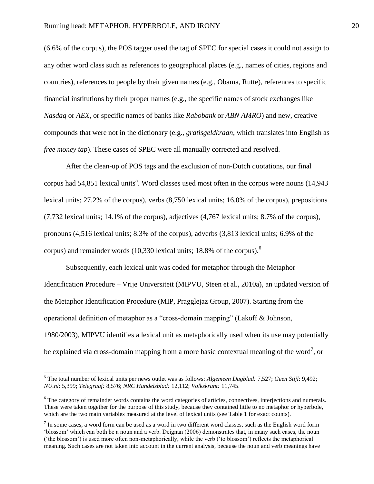(6.6% of the corpus), the POS tagger used the tag of SPEC for special cases it could not assign to any other word class such as references to geographical places (e.g., names of cities, regions and countries), references to people by their given names (e.g., Obama, Rutte), references to specific financial institutions by their proper names (e.g., the specific names of stock exchanges like *Nasdaq* or *AEX*, or specific names of banks like *Rabobank* or *ABN AMRO*) and new, creative compounds that were not in the dictionary (e.g., *gratisgeldkraan*, which translates into English as *free money tap*). These cases of SPEC were all manually corrected and resolved.

After the clean-up of POS tags and the exclusion of non-Dutch quotations, our final corpus had 54,851 lexical units<sup>5</sup>. Word classes used most often in the corpus were nouns (14,943) lexical units; 27.2% of the corpus), verbs (8,750 lexical units; 16.0% of the corpus), prepositions (7,732 lexical units; 14.1% of the corpus), adjectives (4,767 lexical units; 8.7% of the corpus), pronouns (4,516 lexical units; 8.3% of the corpus), adverbs (3,813 lexical units; 6.9% of the corpus) and remainder words (10,330 lexical units; 18.8% of the corpus). 6

Subsequently, each lexical unit was coded for metaphor through the Metaphor Identification Procedure – Vrije Universiteit (MIPVU, Steen et al., 2010a), an updated version of the Metaphor Identification Procedure (MIP, Pragglejaz Group, 2007). Starting from the operational definition of metaphor as a "cross-domain mapping" (Lakoff & Johnson, 1980/2003), MIPVU identifies a lexical unit as metaphorically used when its use may potentially be explained via cross-domain mapping from a more basic contextual meaning of the word<sup>7</sup>, or

l

<sup>5</sup> The total number of lexical units per news outlet was as follows: *Algemeen Dagblad:* 7,527; *Geen Stijl*: 9,492; *NU.nl*: 5,399; *Telegraaf:* 8,576; *NRC Handelsblad:* 12,112; *Volkskrant:* 11,745.

<sup>&</sup>lt;sup>6</sup> The category of remainder words contains the word categories of articles, connectives, interjections and numerals. These were taken together for the purpose of this study, because they contained little to no metaphor or hyperbole, which are the two main variables measured at the level of lexical units (see Table 1 for exact counts).

 $<sup>7</sup>$  In some cases, a word form can be used as a word in two different word classes, such as the English word form</sup> 'blossom' which can both be a noun and a verb. Deignan (2006) demonstrates that, in many such cases, the noun ('the blossom') is used more often non-metaphorically, while the verb ('to blossom') reflects the metaphorical meaning. Such cases are not taken into account in the current analysis, because the noun and verb meanings have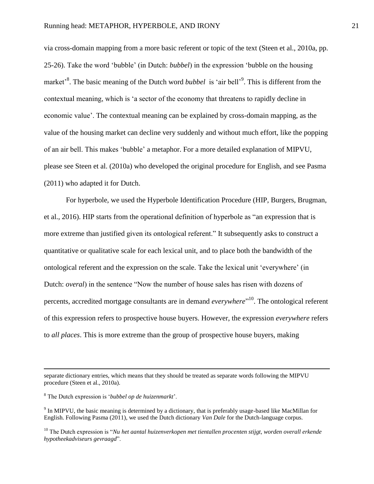via cross-domain mapping from a more basic referent or topic of the text (Steen et al., 2010a, pp. 25-26). Take the word 'bubble' (in Dutch: *bubbel*) in the expression 'bubble on the housing market<sup>3</sup>. The basic meaning of the Dutch word *bubbel* is 'air bell'<sup>9</sup>. This is different from the contextual meaning, which is 'a sector of the economy that threatens to rapidly decline in economic value'. The contextual meaning can be explained by cross-domain mapping, as the value of the housing market can decline very suddenly and without much effort, like the popping of an air bell. This makes 'bubble' a metaphor. For a more detailed explanation of MIPVU, please see Steen et al. (2010a) who developed the original procedure for English, and see Pasma (2011) who adapted it for Dutch.

For hyperbole, we used the Hyperbole Identification Procedure (HIP, Burgers, Brugman, et al., 2016). HIP starts from the operational definition of hyperbole as "an expression that is more extreme than justified given its ontological referent." It subsequently asks to construct a quantitative or qualitative scale for each lexical unit, and to place both the bandwidth of the ontological referent and the expression on the scale. Take the lexical unit 'everywhere' (in Dutch: *overal*) in the sentence "Now the number of house sales has risen with dozens of percents, accredited mortgage consultants are in demand *everywhere*" 10 . The ontological referent of this expression refers to prospective house buyers. However, the expression *everywhere* refers to *all places*. This is more extreme than the group of prospective house buyers, making

 $\overline{\phantom{a}}$ 

separate dictionary entries, which means that they should be treated as separate words following the MIPVU procedure (Steen et al., 2010a).

<sup>8</sup> The Dutch expression is '*bubbel op de huizenmarkt*'.

<sup>&</sup>lt;sup>9</sup> In MIPVU, the basic meaning is determined by a dictionary, that is preferably usage-based like MacMillan for English. Following Pasma (2011), we used the Dutch dictionary *Van Dale* for the Dutch-language corpus.

<sup>&</sup>lt;sup>10</sup> The Dutch expression is "*Nu het aantal huizenverkopen met tientallen procenten stijgt, worden overall erkende hypotheekadviseurs gevraagd*".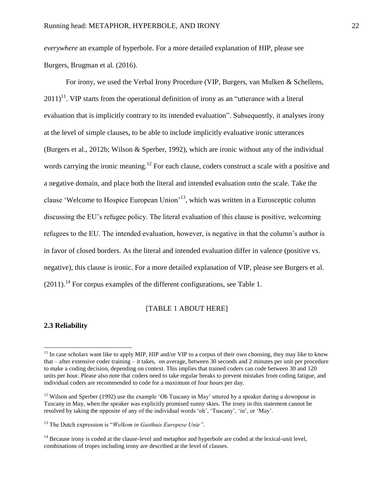*everywhere* an example of hyperbole. For a more detailed explanation of HIP, please see Burgers, Brugman et al. (2016).

For irony, we used the Verbal Irony Procedure (VIP, Burgers, van Mulken & Schellens,  $2011$ <sup>11</sup>. VIP starts from the operational definition of irony as an "utterance with a literal evaluation that is implicitly contrary to its intended evaluation". Subsequently, it analyses irony at the level of simple clauses, to be able to include implicitly evaluative ironic utterances (Burgers et al., 2012b; Wilson & Sperber, 1992), which are ironic without any of the individual words carrying the ironic meaning.<sup>12</sup> For each clause, coders construct a scale with a positive and a negative domain, and place both the literal and intended evaluation onto the scale. Take the clause 'Welcome to Hospice European Union'<sup>13</sup>, which was written in a Eurosceptic column discussing the EU's refugee policy. The literal evaluation of this clause is positive, welcoming refugees to the EU. The intended evaluation, however, is negative in that the column's author is in favor of closed borders. As the literal and intended evaluation differ in valence (positive vs. negative), this clause is ironic. For a more detailed explanation of VIP, please see Burgers et al.  $(2011).$ <sup>14</sup> For corpus examples of the different configurations, see Table 1.

## [TABLE 1 ABOUT HERE]

## **2.3 Reliability**

 $\overline{\phantom{a}}$ 

 $11$  In case scholars want like to apply MIP, HIP and/or VIP to a corpus of their own choosing, they may like to know that – after extensive coder training – it takes, on average, between 30 seconds and 2 minutes per unit per procedure to make a coding decision, depending on context. This implies that trained coders can code between 30 and 120 units per hour. Please also note that coders need to take regular breaks to prevent mistakes from coding fatigue, and individual coders are recommended to code for a maximum of four hours per day.

<sup>&</sup>lt;sup>12</sup> Wilson and Sperber (1992) use the example 'Oh Tuscany in May' uttered by a speaker during a downpour in Tuscany in May, when the speaker was explicitly promised sunny skies. The irony in this statement cannot be resolved by taking the opposite of any of the individual words 'oh', 'Tuscany', 'in', or 'May'.

<sup>13</sup> The Dutch expression is "*Welkom in Gasthuis Europese Unie"*.

<sup>&</sup>lt;sup>14</sup> Because irony is coded at the clause-level and metaphor and hyperbole are coded at the lexical-unit level, combinations of tropes including irony are described at the level of clauses.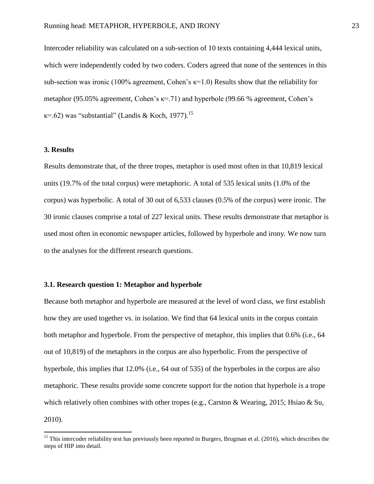Intercoder reliability was calculated on a sub-section of 10 texts containing 4,444 lexical units, which were independently coded by two coders. Coders agreed that none of the sentences in this sub-section was ironic (100% agreement, Cohen's  $\kappa$ =1.0) Results show that the reliability for metaphor (95.05% agreement, Cohen's κ=.71) and hyperbole (99.66 % agreement, Cohen's  $\kappa$ =.62) was "substantial" (Landis & Koch, 1977).<sup>15</sup>

## **3. Results**

 $\overline{\phantom{a}}$ 

Results demonstrate that, of the three tropes, metaphor is used most often in that 10,819 lexical units (19.7% of the total corpus) were metaphoric. A total of 535 lexical units (1.0% of the corpus) was hyperbolic. A total of 30 out of 6,533 clauses (0.5% of the corpus) were ironic. The 30 ironic clauses comprise a total of 227 lexical units. These results demonstrate that metaphor is used most often in economic newspaper articles, followed by hyperbole and irony. We now turn to the analyses for the different research questions.

## **3.1. Research question 1: Metaphor and hyperbole**

Because both metaphor and hyperbole are measured at the level of word class, we first establish how they are used together vs. in isolation. We find that 64 lexical units in the corpus contain both metaphor and hyperbole. From the perspective of metaphor, this implies that 0.6% (i.e., 64 out of 10,819) of the metaphors in the corpus are also hyperbolic. From the perspective of hyperbole, this implies that 12.0% (i.e., 64 out of 535) of the hyperboles in the corpus are also metaphoric. These results provide some concrete support for the notion that hyperbole is a trope which relatively often combines with other tropes (e.g., Carston & Wearing, 2015; Hsiao & Su, 2010).

<sup>&</sup>lt;sup>15</sup> This intercoder reliability test has previously been reported in Burgers, Brugman et al. (2016), which describes the steps of HIP into detail.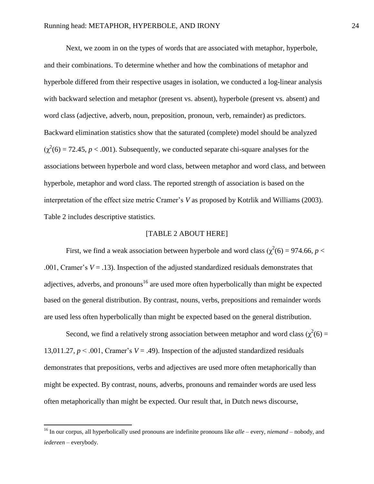Next, we zoom in on the types of words that are associated with metaphor, hyperbole, and their combinations. To determine whether and how the combinations of metaphor and hyperbole differed from their respective usages in isolation, we conducted a log-linear analysis with backward selection and metaphor (present vs. absent), hyperbole (present vs. absent) and word class (adjective, adverb, noun, preposition, pronoun, verb, remainder) as predictors. Backward elimination statistics show that the saturated (complete) model should be analyzed  $(\chi^2(6) = 72.45, p < .001)$ . Subsequently, we conducted separate chi-square analyses for the associations between hyperbole and word class, between metaphor and word class, and between hyperbole, metaphor and word class. The reported strength of association is based on the interpretation of the effect size metric Cramer's *V* as proposed by Kotrlik and Williams (2003). Table 2 includes descriptive statistics.

## [TABLE 2 ABOUT HERE]

First, we find a weak association between hyperbole and word class ( $\chi^2(6) = 974.66$ ,  $p <$ .001, Cramer's  $V = .13$ ). Inspection of the adjusted standardized residuals demonstrates that adjectives, adverbs, and pronouns<sup>16</sup> are used more often hyperbolically than might be expected based on the general distribution. By contrast, nouns, verbs, prepositions and remainder words are used less often hyperbolically than might be expected based on the general distribution.

Second, we find a relatively strong association between metaphor and word class ( $\chi^2(6)$  = 13,011.27,  $p < .001$ , Cramer's  $V = .49$ ). Inspection of the adjusted standardized residuals demonstrates that prepositions, verbs and adjectives are used more often metaphorically than might be expected. By contrast, nouns, adverbs, pronouns and remainder words are used less often metaphorically than might be expected. Our result that, in Dutch news discourse,

 $\overline{a}$ 

<sup>16</sup> In our corpus, all hyperbolically used pronouns are indefinite pronouns like *alle* – every, *niemand* – nobody, and *iedereen* – everybody.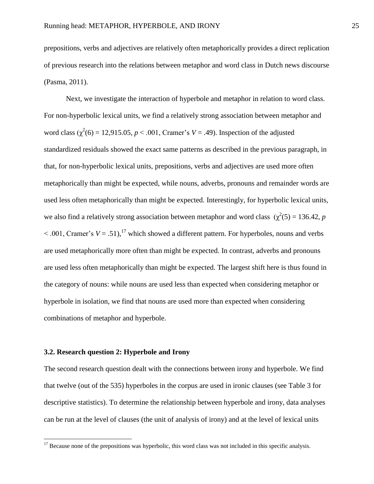prepositions, verbs and adjectives are relatively often metaphorically provides a direct replication of previous research into the relations between metaphor and word class in Dutch news discourse (Pasma, 2011).

Next, we investigate the interaction of hyperbole and metaphor in relation to word class. For non-hyperbolic lexical units, we find a relatively strong association between metaphor and word class  $(\chi^2(6) = 12,915.05, p < .001,$  Cramer's  $V = .49$ ). Inspection of the adjusted standardized residuals showed the exact same patterns as described in the previous paragraph, in that, for non-hyperbolic lexical units, prepositions, verbs and adjectives are used more often metaphorically than might be expected, while nouns, adverbs, pronouns and remainder words are used less often metaphorically than might be expected. Interestingly, for hyperbolic lexical units, we also find a relatively strong association between metaphor and word class  $(\chi^2(5) = 136.42, p$  $\leq$  .001, Cramer's  $V = .51$ ),<sup>17</sup> which showed a different pattern. For hyperboles, nouns and verbs are used metaphorically more often than might be expected. In contrast, adverbs and pronouns are used less often metaphorically than might be expected. The largest shift here is thus found in the category of nouns: while nouns are used less than expected when considering metaphor or hyperbole in isolation, we find that nouns are used more than expected when considering combinations of metaphor and hyperbole.

#### **3.2. Research question 2: Hyperbole and Irony**

 $\overline{\phantom{a}}$ 

The second research question dealt with the connections between irony and hyperbole. We find that twelve (out of the 535) hyperboles in the corpus are used in ironic clauses (see Table 3 for descriptive statistics). To determine the relationship between hyperbole and irony, data analyses can be run at the level of clauses (the unit of analysis of irony) and at the level of lexical units

 $17$  Because none of the prepositions was hyperbolic, this word class was not included in this specific analysis.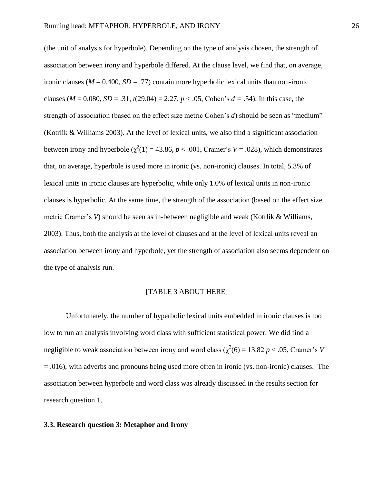(the unit of analysis for hyperbole). Depending on the type of analysis chosen, the strength of association between irony and hyperbole differed. At the clause level, we find that, on average, ironic clauses ( $M = 0.400$ ,  $SD = .77$ ) contain more hyperbolic lexical units than non-ironic clauses ( $M = 0.080$ ,  $SD = .31$ ,  $t(29.04) = 2.27$ ,  $p < .05$ , Cohen's  $d = .54$ ). In this case, the strength of association (based on the effect size metric Cohen's *d*) should be seen as "medium" (Kotrlik & Williams 2003). At the level of lexical units, we also find a significant association between irony and hyperbole  $(\chi^2(1) = 43.86, p < .001,$  Cramer's  $V = .028$ ), which demonstrates that, on average, hyperbole is used more in ironic (vs. non-ironic) clauses. In total, 5.3% of lexical units in ironic clauses are hyperbolic, while only 1.0% of lexical units in non-ironic clauses is hyperbolic. At the same time, the strength of the association (based on the effect size metric Cramer's *V*) should be seen as in-between negligible and weak (Kotrlik & Williams, 2003). Thus, both the analysis at the level of clauses and at the level of lexical units reveal an association between irony and hyperbole, yet the strength of association also seems dependent on the type of analysis run.

## [TABLE 3 ABOUT HERE]

Unfortunately, the number of hyperbolic lexical units embedded in ironic clauses is too low to run an analysis involving word class with sufficient statistical power. We did find a negligible to weak association between irony and word class ( $\chi^2(6) = 13.82 \ p < .05$ , Cramer's *V*  $= .016$ ), with adverbs and pronouns being used more often in ironic (vs. non-ironic) clauses. The association between hyperbole and word class was already discussed in the results section for research question 1.

### **3.3. Research question 3: Metaphor and Irony**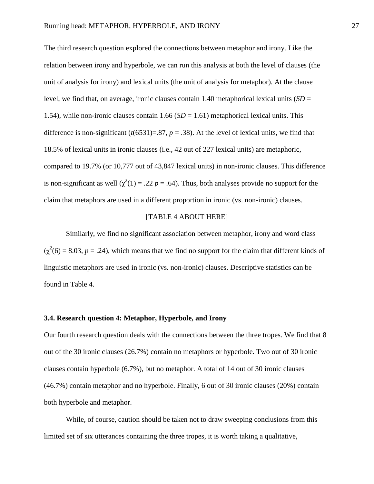The third research question explored the connections between metaphor and irony. Like the relation between irony and hyperbole, we can run this analysis at both the level of clauses (the unit of analysis for irony) and lexical units (the unit of analysis for metaphor). At the clause level, we find that, on average, ironic clauses contain 1.40 metaphorical lexical units (*SD* = 1.54), while non-ironic clauses contain 1.66 (*SD* = 1.61) metaphorical lexical units. This difference is non-significant  $(t(6531)=.87, p=.38)$ . At the level of lexical units, we find that 18.5% of lexical units in ironic clauses (i.e., 42 out of 227 lexical units) are metaphoric, compared to 19.7% (or 10,777 out of 43,847 lexical units) in non-ironic clauses. This difference is non-significant as well  $(\chi^2(1) = .22 p = .64)$ . Thus, both analyses provide no support for the claim that metaphors are used in a different proportion in ironic (vs. non-ironic) clauses.

## [TABLE 4 ABOUT HERE]

Similarly, we find no significant association between metaphor, irony and word class  $(\chi^2(6) = 8.03, p = .24)$ , which means that we find no support for the claim that different kinds of linguistic metaphors are used in ironic (vs. non-ironic) clauses. Descriptive statistics can be found in Table 4.

### **3.4. Research question 4: Metaphor, Hyperbole, and Irony**

Our fourth research question deals with the connections between the three tropes. We find that 8 out of the 30 ironic clauses (26.7%) contain no metaphors or hyperbole. Two out of 30 ironic clauses contain hyperbole (6.7%), but no metaphor. A total of 14 out of 30 ironic clauses (46.7%) contain metaphor and no hyperbole. Finally, 6 out of 30 ironic clauses (20%) contain both hyperbole and metaphor.

While, of course, caution should be taken not to draw sweeping conclusions from this limited set of six utterances containing the three tropes, it is worth taking a qualitative,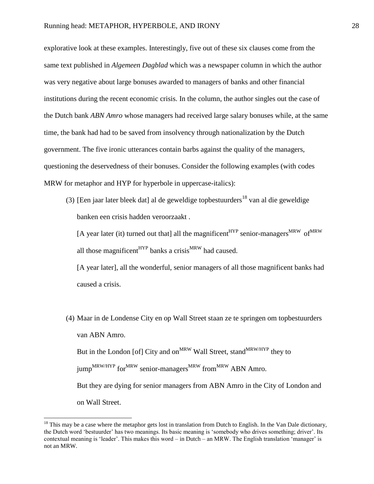explorative look at these examples. Interestingly, five out of these six clauses come from the same text published in *Algemeen Dagblad* which was a newspaper column in which the author was very negative about large bonuses awarded to managers of banks and other financial institutions during the recent economic crisis. In the column, the author singles out the case of the Dutch bank *ABN Amro* whose managers had received large salary bonuses while, at the same time, the bank had had to be saved from insolvency through nationalization by the Dutch government. The five ironic utterances contain barbs against the quality of the managers, questioning the deservedness of their bonuses. Consider the following examples (with codes MRW for metaphor and HYP for hyperbole in uppercase-italics):

(3) [Een jaar later bleek dat] al de geweldige topbestuurders<sup>18</sup> van al die geweldige banken een crisis hadden veroorzaakt .

[A year later (it) turned out that] all the magnificent<sup>HYP</sup> senior-managers<sup>MRW</sup> of  $MRW$ all those magnificent<sup>HYP</sup> banks a crisis<sup>MRW</sup> had caused.

[A year later], all the wonderful, senior managers of all those magnificent banks had caused a crisis.

(4) Maar in de Londense City en op Wall Street staan ze te springen om topbestuurders van ABN Amro. But in the London [of] City and on<sup>MRW</sup> Wall Street, stand<sup>MRW/HYP</sup> they to jump<sup>MRW/HYP</sup> for<sup>MRW</sup> senior-managers<sup>MRW</sup> from<sup>MRW</sup> ABN Amro. But they are dying for senior managers from ABN Amro in the City of London and on Wall Street.

l

 $<sup>18</sup>$  This may be a case where the metaphor gets lost in translation from Dutch to English. In the Van Dale dictionary,</sup> the Dutch word 'bestuurder' has two meanings. Its basic meaning is 'somebody who drives something; driver'. Its contextual meaning is 'leader'. This makes this word – in Dutch – an MRW. The English translation 'manager' is not an MRW.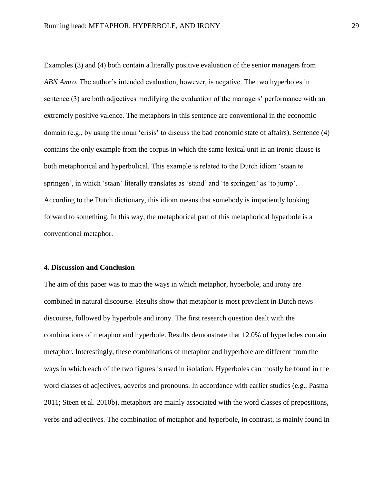Examples (3) and (4) both contain a literally positive evaluation of the senior managers from *ABN Amro*. The author's intended evaluation, however, is negative. The two hyperboles in sentence (3) are both adjectives modifying the evaluation of the managers' performance with an extremely positive valence. The metaphors in this sentence are conventional in the economic domain (e.g., by using the noun 'crisis' to discuss the bad economic state of affairs). Sentence (4) contains the only example from the corpus in which the same lexical unit in an ironic clause is both metaphorical and hyperbolical. This example is related to the Dutch idiom 'staan te springen', in which 'staan' literally translates as 'stand' and 'te springen' as 'to jump'. According to the Dutch dictionary, this idiom means that somebody is impatiently looking forward to something. In this way, the metaphorical part of this metaphorical hyperbole is a conventional metaphor.

#### **4. Discussion and Conclusion**

The aim of this paper was to map the ways in which metaphor, hyperbole, and irony are combined in natural discourse. Results show that metaphor is most prevalent in Dutch news discourse, followed by hyperbole and irony. The first research question dealt with the combinations of metaphor and hyperbole. Results demonstrate that 12.0% of hyperboles contain metaphor. Interestingly, these combinations of metaphor and hyperbole are different from the ways in which each of the two figures is used in isolation. Hyperboles can mostly be found in the word classes of adjectives, adverbs and pronouns. In accordance with earlier studies (e.g., Pasma 2011; Steen et al. 2010b), metaphors are mainly associated with the word classes of prepositions, verbs and adjectives. The combination of metaphor and hyperbole, in contrast, is mainly found in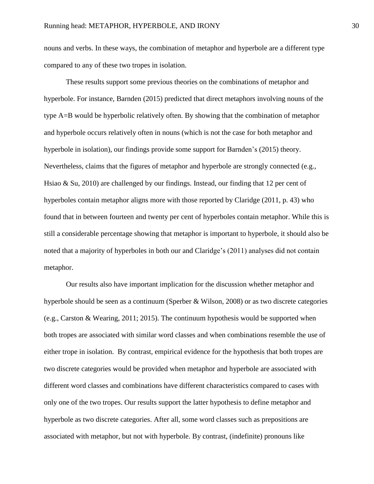nouns and verbs. In these ways, the combination of metaphor and hyperbole are a different type compared to any of these two tropes in isolation.

These results support some previous theories on the combinations of metaphor and hyperbole. For instance, Barnden (2015) predicted that direct metaphors involving nouns of the type A=B would be hyperbolic relatively often. By showing that the combination of metaphor and hyperbole occurs relatively often in nouns (which is not the case for both metaphor and hyperbole in isolation), our findings provide some support for Barnden's (2015) theory. Nevertheless, claims that the figures of metaphor and hyperbole are strongly connected (e.g., Hsiao & Su, 2010) are challenged by our findings. Instead, our finding that 12 per cent of hyperboles contain metaphor aligns more with those reported by Claridge (2011, p. 43) who found that in between fourteen and twenty per cent of hyperboles contain metaphor. While this is still a considerable percentage showing that metaphor is important to hyperbole, it should also be noted that a majority of hyperboles in both our and Claridge's (2011) analyses did not contain metaphor.

Our results also have important implication for the discussion whether metaphor and hyperbole should be seen as a continuum (Sperber & Wilson, 2008) or as two discrete categories (e.g., Carston & Wearing, 2011; 2015). The continuum hypothesis would be supported when both tropes are associated with similar word classes and when combinations resemble the use of either trope in isolation. By contrast, empirical evidence for the hypothesis that both tropes are two discrete categories would be provided when metaphor and hyperbole are associated with different word classes and combinations have different characteristics compared to cases with only one of the two tropes. Our results support the latter hypothesis to define metaphor and hyperbole as two discrete categories. After all, some word classes such as prepositions are associated with metaphor, but not with hyperbole. By contrast, (indefinite) pronouns like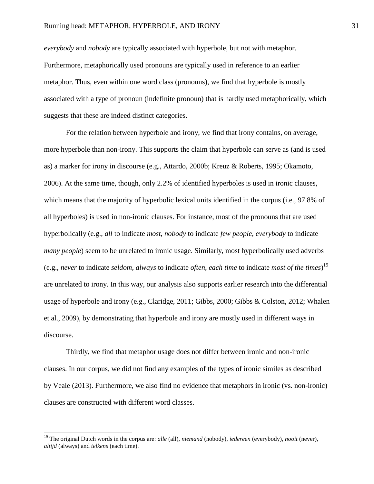*everybody* and *nobody* are typically associated with hyperbole, but not with metaphor. Furthermore, metaphorically used pronouns are typically used in reference to an earlier metaphor. Thus, even within one word class (pronouns), we find that hyperbole is mostly associated with a type of pronoun (indefinite pronoun) that is hardly used metaphorically, which suggests that these are indeed distinct categories.

For the relation between hyperbole and irony, we find that irony contains, on average, more hyperbole than non-irony. This supports the claim that hyperbole can serve as (and is used as) a marker for irony in discourse (e.g., Attardo, 2000b; Kreuz & Roberts, 1995; Okamoto, 2006). At the same time, though, only 2.2% of identified hyperboles is used in ironic clauses, which means that the majority of hyperbolic lexical units identified in the corpus (i.e., 97.8% of all hyperboles) is used in non-ironic clauses. For instance, most of the pronouns that are used hyperbolically (e.g., *all* to indicate *most*, *nobody* to indicate *few people*, *everybody* to indicate *many people*) seem to be unrelated to ironic usage. Similarly, most hyperbolically used adverbs (e.g., *never* to indicate *seldom*, *always* to indicate *often*, *each time* to indicate *most of the times*) 19 are unrelated to irony. In this way, our analysis also supports earlier research into the differential usage of hyperbole and irony (e.g., Claridge, 2011; Gibbs, 2000; Gibbs & Colston, 2012; Whalen et al., 2009), by demonstrating that hyperbole and irony are mostly used in different ways in discourse.

Thirdly, we find that metaphor usage does not differ between ironic and non-ironic clauses. In our corpus, we did not find any examples of the types of ironic similes as described by Veale (2013). Furthermore, we also find no evidence that metaphors in ironic (vs. non-ironic) clauses are constructed with different word classes.

 $\overline{\phantom{a}}$ 

<sup>19</sup> The original Dutch words in the corpus are: *alle* (all), *niemand* (nobody), *iedereen* (everybody), *nooit* (never), *altijd* (always) and *telkens* (each time).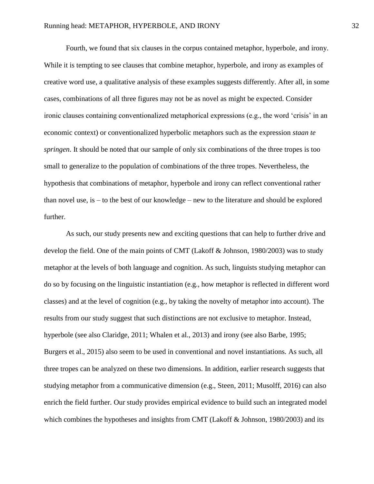Fourth, we found that six clauses in the corpus contained metaphor, hyperbole, and irony. While it is tempting to see clauses that combine metaphor, hyperbole, and irony as examples of creative word use, a qualitative analysis of these examples suggests differently. After all, in some cases, combinations of all three figures may not be as novel as might be expected. Consider ironic clauses containing conventionalized metaphorical expressions (e.g., the word 'crisis' in an economic context) or conventionalized hyperbolic metaphors such as the expression *staan te springen*. It should be noted that our sample of only six combinations of the three tropes is too small to generalize to the population of combinations of the three tropes. Nevertheless, the hypothesis that combinations of metaphor, hyperbole and irony can reflect conventional rather than novel use, is – to the best of our knowledge – new to the literature and should be explored further.

As such, our study presents new and exciting questions that can help to further drive and develop the field. One of the main points of CMT (Lakoff & Johnson, 1980/2003) was to study metaphor at the levels of both language and cognition. As such, linguists studying metaphor can do so by focusing on the linguistic instantiation (e.g., how metaphor is reflected in different word classes) and at the level of cognition (e.g., by taking the novelty of metaphor into account). The results from our study suggest that such distinctions are not exclusive to metaphor. Instead, hyperbole (see also Claridge, 2011; Whalen et al., 2013) and irony (see also Barbe, 1995; Burgers et al., 2015) also seem to be used in conventional and novel instantiations. As such, all three tropes can be analyzed on these two dimensions. In addition, earlier research suggests that studying metaphor from a communicative dimension (e.g., Steen, 2011; Musolff, 2016) can also enrich the field further. Our study provides empirical evidence to build such an integrated model which combines the hypotheses and insights from CMT (Lakoff & Johnson, 1980/2003) and its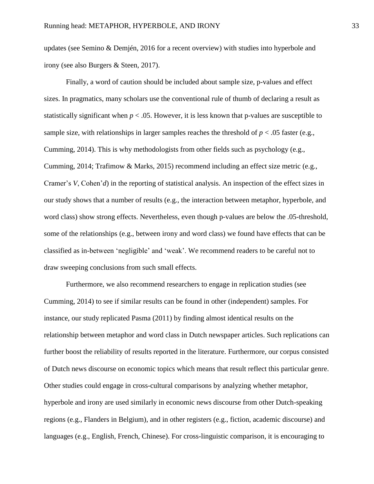updates (see Semino & Demjén, 2016 for a recent overview) with studies into hyperbole and irony (see also Burgers & Steen, 2017).

Finally, a word of caution should be included about sample size, p-values and effect sizes. In pragmatics, many scholars use the conventional rule of thumb of declaring a result as statistically significant when  $p < .05$ . However, it is less known that p-values are susceptible to sample size, with relationships in larger samples reaches the threshold of  $p < .05$  faster (e.g., Cumming, 2014). This is why methodologists from other fields such as psychology (e.g., Cumming, 2014; Trafimow & Marks, 2015) recommend including an effect size metric (e.g., Cramer's *V*, Cohen'*d*) in the reporting of statistical analysis. An inspection of the effect sizes in our study shows that a number of results (e.g., the interaction between metaphor, hyperbole, and word class) show strong effects. Nevertheless, even though p-values are below the .05-threshold, some of the relationships (e.g., between irony and word class) we found have effects that can be classified as in-between 'negligible' and 'weak'. We recommend readers to be careful not to draw sweeping conclusions from such small effects.

Furthermore, we also recommend researchers to engage in replication studies (see Cumming, 2014) to see if similar results can be found in other (independent) samples. For instance, our study replicated Pasma (2011) by finding almost identical results on the relationship between metaphor and word class in Dutch newspaper articles. Such replications can further boost the reliability of results reported in the literature. Furthermore, our corpus consisted of Dutch news discourse on economic topics which means that result reflect this particular genre. Other studies could engage in cross-cultural comparisons by analyzing whether metaphor, hyperbole and irony are used similarly in economic news discourse from other Dutch-speaking regions (e.g., Flanders in Belgium), and in other registers (e.g., fiction, academic discourse) and languages (e.g., English, French, Chinese). For cross-linguistic comparison, it is encouraging to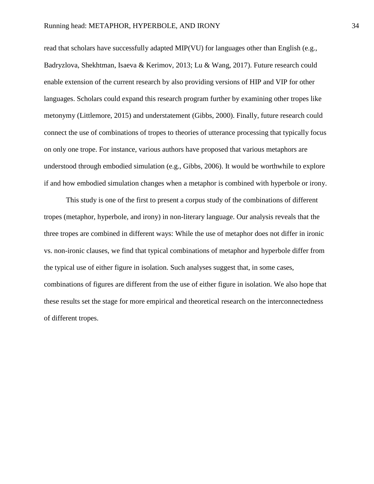read that scholars have successfully adapted MIP(VU) for languages other than English (e.g., Badryzlova, Shekhtman, Isaeva & Kerimov, 2013; Lu & Wang, 2017). Future research could enable extension of the current research by also providing versions of HIP and VIP for other languages. Scholars could expand this research program further by examining other tropes like metonymy (Littlemore, 2015) and understatement (Gibbs, 2000). Finally, future research could connect the use of combinations of tropes to theories of utterance processing that typically focus on only one trope. For instance, various authors have proposed that various metaphors are understood through embodied simulation (e.g., Gibbs, 2006). It would be worthwhile to explore if and how embodied simulation changes when a metaphor is combined with hyperbole or irony.

This study is one of the first to present a corpus study of the combinations of different tropes (metaphor, hyperbole, and irony) in non-literary language. Our analysis reveals that the three tropes are combined in different ways: While the use of metaphor does not differ in ironic vs. non-ironic clauses, we find that typical combinations of metaphor and hyperbole differ from the typical use of either figure in isolation. Such analyses suggest that, in some cases, combinations of figures are different from the use of either figure in isolation. We also hope that these results set the stage for more empirical and theoretical research on the interconnectedness of different tropes.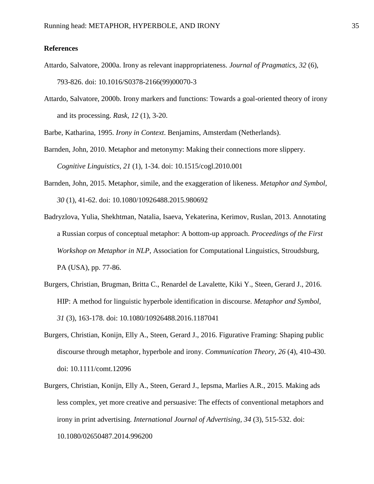# **References**

- Attardo, Salvatore, 2000a. Irony as relevant inappropriateness. *Journal of Pragmatics, 32* (6), 793-826. doi: 10.1016/S0378-2166(99)00070-3
- Attardo, Salvatore, 2000b. Irony markers and functions: Towards a goal-oriented theory of irony and its processing. *Rask, 12* (1), 3-20.

Barbe, Katharina, 1995. *Irony in Context*. Benjamins, Amsterdam (Netherlands).

- Barnden, John, 2010. Metaphor and metonymy: Making their connections more slippery. *Cognitive Linguistics, 21* (1), 1-34. doi: 10.1515/cogl.2010.001
- Barnden, John, 2015. Metaphor, simile, and the exaggeration of likeness. *Metaphor and Symbol, 30* (1), 41-62. doi: 10.1080/10926488.2015.980692
- Badryzlova, Yulia, Shekhtman, Natalia, Isaeva, Yekaterina, Kerimov, Ruslan, 2013. Annotating a Russian corpus of conceptual metaphor: A bottom-up approach. *Proceedings of the First Workshop on Metaphor in NLP*, Association for Computational Linguistics, Stroudsburg, PA (USA), pp. 77-86.
- Burgers, Christian, Brugman, Britta C., Renardel de Lavalette, Kiki Y., Steen, Gerard J., 2016. HIP: A method for linguistic hyperbole identification in discourse. *Metaphor and Symbol, 31* (3), 163-178. doi: 10.1080/10926488.2016.1187041
- Burgers, Christian, Konijn, Elly A., Steen, Gerard J., 2016. Figurative Framing: Shaping public discourse through metaphor, hyperbole and irony. *Communication Theory, 26* (4), 410-430. doi: 10.1111/comt.12096
- Burgers, Christian, Konijn, Elly A., Steen, Gerard J., Iepsma, Marlies A.R., 2015. Making ads less complex, yet more creative and persuasive: The effects of conventional metaphors and irony in print advertising. *International Journal of Advertising, 34* (3), 515-532. doi: 10.1080/02650487.2014.996200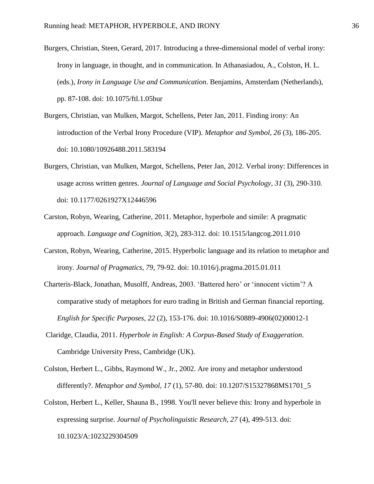- Burgers, Christian, Steen, Gerard, 2017. Introducing a three-dimensional model of verbal irony: Irony in language, in thought, and in communication. In Athanasiadou, A., Colston, H. L. (eds.), *Irony in Language Use and Communication*. Benjamins, Amsterdam (Netherlands), pp. 87-108. doi: 10.1075/ftl.1.05bur
- Burgers, Christian, van Mulken, Margot, Schellens, Peter Jan, 2011. Finding irony: An introduction of the Verbal Irony Procedure (VIP). *Metaphor and Symbol, 26* (3), 186-205. doi: 10.1080/10926488.2011.583194
- Burgers, Christian, van Mulken, Margot, Schellens, Peter Jan, 2012. Verbal irony: Differences in usage across written genres. *Journal of Language and Social Psychology, 31* (3), 290-310*.*  doi: 10.1177/0261927X12446596
- Carston, Robyn, Wearing, Catherine, 2011. Metaphor, hyperbole and simile: A pragmatic approach. *Language and Cognition*, *3*(2), 283-312. doi: 10.1515/langcog.2011.010
- Carston, Robyn, Wearing, Catherine, 2015. Hyperbolic language and its relation to metaphor and irony. *Journal of Pragmatics, 79*, 79-92. doi: 10.1016/j.pragma.2015.01.011
- Charteris-Black, Jonathan, Musolff, Andreas, 2003. 'Battered hero' or 'innocent victim'? A comparative study of metaphors for euro trading in British and German financial reporting. *English for Specific Purposes*, *22* (2), 153-176. doi: 10.1016/S0889-4906(02)00012-1
- Claridge, Claudia, 2011. *Hyperbole in English: A Corpus-Based Study of Exaggeration*. Cambridge University Press, Cambridge (UK).
- Colston, Herbert L., Gibbs, Raymond W., Jr., 2002. Are irony and metaphor understood differently?. *Metaphor and Symbol, 17* (1), 57-80. doi: 10.1207/S15327868MS1701\_5
- Colston, Herbert L., Keller, Shauna B., 1998. You'll never believe this: Irony and hyperbole in expressing surprise. *Journal of Psycholinguistic Research, 27* (4), 499-513. doi: 10.1023/A:1023229304509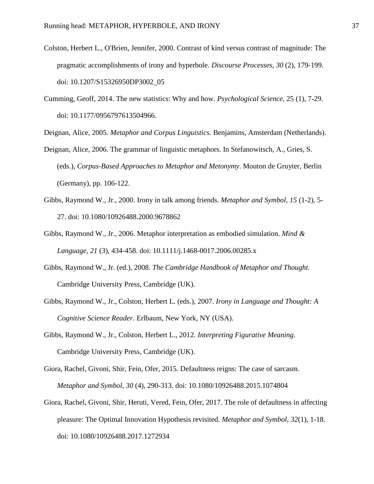- Colston, Herbert L., O'Brien, Jennifer, 2000. Contrast of kind versus contrast of magnitude: The pragmatic accomplishments of irony and hyperbole. *Discourse Processes*, *30* (2), 179-199. doi: 10.1207/S15326950DP3002\_05
- Cumming, Geoff, 2014. The new statistics: Why and how. *Psychological Science*, 25 (1), 7-29. doi: 10.1177/0956797613504966.

Deignan, Alice, 2005. *Metaphor and Corpus Linguistics.* Benjamins, Amsterdam (Netherlands).

- Deignan, Alice, 2006. The grammar of linguistic metaphors. In Stefanowitsch, A., Gries, S. (eds.), *Corpus-Based Approaches to Metaphor and Metonymy*. Mouton de Gruyter, Berlin (Germany), pp. 106-122.
- Gibbs, Raymond W., Jr., 2000. Irony in talk among friends. *Metaphor and Symbol, 15* (1-2), 5- 27. doi: 10.1080/10926488.2000.9678862
- Gibbs, Raymond W., Jr., 2006. Metaphor interpretation as embodied simulation. *Mind & Language, 21* (3), 434-458. doi: 10.1111/j.1468-0017.2006.00285.x
- Gibbs, Raymond W., Jr. (ed.), 2008. *The Cambridge Handbook of Metaphor and Thought*. Cambridge University Press, Cambridge (UK).
- Gibbs, Raymond W., Jr., Colston, Herbert L. (eds.), 2007. *Irony in Language and Thought: A Cognitive Science Reader*. Erlbaum, New York, NY (USA).
- Gibbs, Raymond W., Jr., Colston, Herbert L., 2012. *Interpreting Figurative Meaning*. Cambridge University Press, Cambridge (UK).
- Giora, Rachel, Givoni, Shir, Fein, Ofer, 2015. Defaultness reigns: The case of sarcasm. *Metaphor and Symbol*, *30* (4), 290-313. doi: 10.1080/10926488.2015.1074804
- Giora, Rachel, Givoni, Shir, Heruti, Vered, Fein, Ofer, 2017. The role of defaultness in affecting pleasure: The Optimal Innovation Hypothesis revisited. *Metaphor and Symbol*, *32*(1), 1-18. doi: 10.1080/10926488.2017.1272934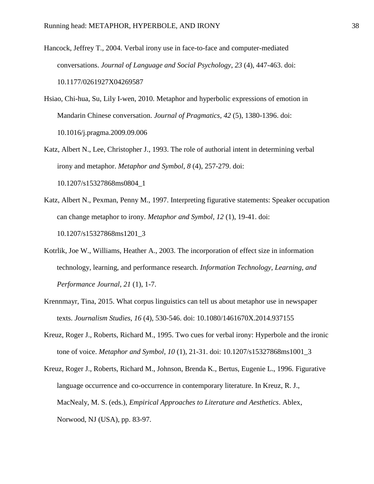Hancock, Jeffrey T., 2004. Verbal irony use in face-to-face and computer-mediated conversations. *Journal of Language and Social Psychology*, *23* (4), 447-463. doi: 10.1177/0261927X04269587

- Hsiao, Chi-hua, Su, Lily I-wen, 2010. Metaphor and hyperbolic expressions of emotion in Mandarin Chinese conversation. *Journal of Pragmatics*, *42* (5), 1380-1396. doi: 10.1016/j.pragma.2009.09.006
- Katz, Albert N., Lee, Christopher J., 1993. The role of authorial intent in determining verbal irony and metaphor. *Metaphor and Symbol*, *8* (4), 257-279. doi: 10.1207/s15327868ms0804\_1
- Katz, Albert N., Pexman, Penny M., 1997. Interpreting figurative statements: Speaker occupation can change metaphor to irony. *Metaphor and Symbol, 12* (1), 19-41. doi: 10.1207/s15327868ms1201\_3
- Kotrlik, Joe W., Williams, Heather A., 2003. The incorporation of effect size in information technology, learning, and performance research. *Information Technology, Learning, and Performance Journal*, *21* (1), 1-7.
- Krennmayr, Tina, 2015. What corpus linguistics can tell us about metaphor use in newspaper texts. *Journalism Studies*, *16* (4), 530-546. doi: 10.1080/1461670X.2014.937155
- Kreuz, Roger J., Roberts, Richard M., 1995. Two cues for verbal irony: Hyperbole and the ironic tone of voice. *Metaphor and Symbol*, *10* (1), 21-31. doi: 10.1207/s15327868ms1001\_3
- Kreuz, Roger J., Roberts, Richard M., Johnson, Brenda K., Bertus, Eugenie L., 1996. Figurative language occurrence and co-occurrence in contemporary literature. In Kreuz, R. J., MacNealy, M. S. (eds.), *Empirical Approaches to Literature and Aesthetics*. Ablex, Norwood, NJ (USA), pp. 83-97.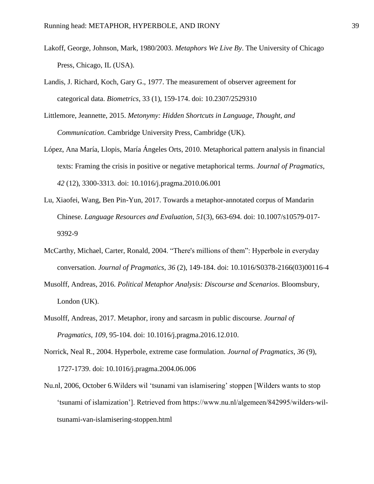- Lakoff, George, Johnson, Mark, 1980/2003. *Metaphors We Live By*. The University of Chicago Press, Chicago, IL (USA).
- Landis, J. Richard, Koch, Gary G., 1977. The measurement of observer agreement for categorical data. *Biometrics*, 33 (1), 159-174. doi: 10.2307/2529310
- Littlemore, Jeannette, 2015. *Metonymy: Hidden Shortcuts in Language, Thought, and Communication*. Cambridge University Press, Cambridge (UK).
- López, Ana María, Llopis, María Ángeles Orts, 2010. Metaphorical pattern analysis in financial texts: Framing the crisis in positive or negative metaphorical terms. *Journal of Pragmatics*, *42* (12), 3300-3313. doi: 10.1016/j.pragma.2010.06.001
- Lu, Xiaofei, Wang, Ben Pin-Yun, 2017. Towards a metaphor-annotated corpus of Mandarin Chinese. *Language Resources and Evaluation*, *51*(3), 663-694. doi: 10.1007/s10579-017- 9392-9
- McCarthy, Michael, Carter, Ronald, 2004. "There's millions of them": Hyperbole in everyday conversation. *Journal of Pragmatics*, *36* (2), 149-184. doi: 10.1016/S0378-2166(03)00116-4
- Musolff, Andreas, 2016. *Political Metaphor Analysis: Discourse and Scenarios*. Bloomsbury, London (UK).
- Musolff, Andreas, 2017. Metaphor, irony and sarcasm in public discourse. *Journal of Pragmatics*, *109*, 95-104. doi: 10.1016/j.pragma.2016.12.010.
- Norrick, Neal R., 2004. Hyperbole, extreme case formulation. *Journal of Pragmatics*, *36* (9), 1727-1739. doi: 10.1016/j.pragma.2004.06.006
- Nu.nl, 2006, October 6.Wilders wil 'tsunami van islamisering' stoppen [Wilders wants to stop 'tsunami of islamization']. Retrieved from https://www.nu.nl/algemeen/842995/wilders-wiltsunami-van-islamisering-stoppen.html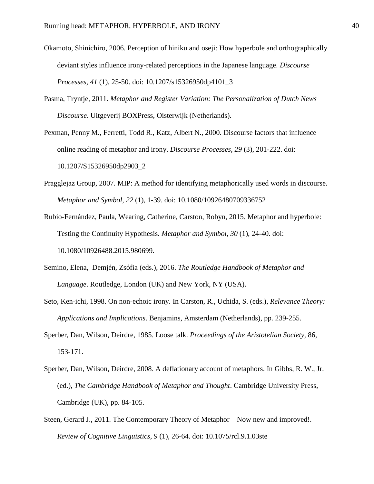- Okamoto, Shinichiro, 2006. Perception of hiniku and oseji: How hyperbole and orthographically deviant styles influence irony-related perceptions in the Japanese language. *Discourse Processes*, *41* (1), 25-50. doi: 10.1207/s15326950dp4101\_3
- Pasma, Tryntje, 2011. *Metaphor and Register Variation: The Personalization of Dutch News Discourse*. Uitgeverij BOXPress, Oisterwijk (Netherlands).
- Pexman, Penny M., Ferretti, Todd R., Katz, Albert N., 2000. Discourse factors that influence online reading of metaphor and irony. *Discourse Processes, 29* (3), 201-222. doi: 10.1207/S15326950dp2903\_2
- Pragglejaz Group, 2007. MIP: A method for identifying metaphorically used words in discourse. *Metaphor and Symbol, 22* (1), 1-39. doi: 10.1080/10926480709336752
- Rubio-Fernández, Paula, Wearing, Catherine, Carston, Robyn, 2015. Metaphor and hyperbole: Testing the Continuity Hypothesis. *Metaphor and Symbol*, *30* (1), 24-40. doi: 10.1080/10926488.2015.980699.
- Semino, Elena, Demjén, Zsófia (eds.), 2016. *The Routledge Handbook of Metaphor and Language*. Routledge, London (UK) and New York, NY (USA).
- Seto, Ken-ichi, 1998. On non-echoic irony. In Carston, R., Uchida, S. (eds.), *Relevance Theory: Applications and Implications*. Benjamins, Amsterdam (Netherlands), pp. 239-255.
- Sperber, Dan, Wilson, Deirdre, 1985. Loose talk. *Proceedings of the Aristotelian Society,* 86, 153-171.
- Sperber, Dan, Wilson, Deirdre, 2008. A deflationary account of metaphors. In Gibbs, R. W., Jr. (ed.), *The Cambridge Handbook of Metaphor and Thought*. Cambridge University Press, Cambridge (UK), pp. 84-105.
- Steen, Gerard J., 2011. The Contemporary Theory of Metaphor Now new and improved!. *Review of Cognitive Linguistics, 9* (1), 26-64. doi: 10.1075/rcl.9.1.03ste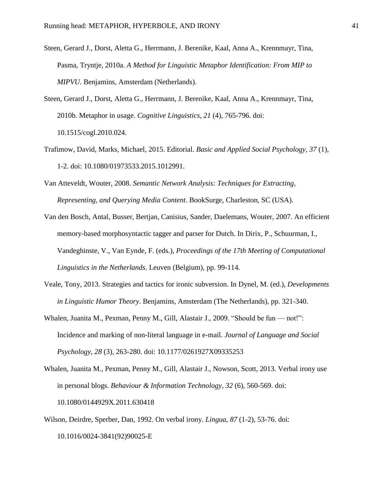- Steen, Gerard J., Dorst, Aletta G., Herrmann, J. Berenike, Kaal, Anna A., Krennmayr, Tina, Pasma, Tryntje, 2010a. *A Method for Linguistic Metaphor Identification: From MIP to MIPVU*. Benjamins, Amsterdam (Netherlands).
- Steen, Gerard J., Dorst, Aletta G., Herrmann, J. Berenike, Kaal, Anna A., Krennmayr, Tina, 2010b. Metaphor in usage. *Cognitive Linguistics*, *21* (4), 765-796. doi: 10.1515/cogl.2010.024.
- Trafimow, David, Marks, Michael, 2015. Editorial. *Basic and Applied Social Psychology, 37* (1), 1-2. doi: 10.1080/01973533.2015.1012991.
- Van Atteveldt, Wouter, 2008. *Semantic Network Analysis: Techniques for Extracting, Representing, and Querying Media Content*. BookSurge, Charleston, SC (USA).
- Van den Bosch, Antal, Busser, Bertjan, Canisius, Sander, Daelemans, Wouter, 2007. An efficient memory-based morphosyntactic tagger and parser for Dutch. In Dirix, P., Schuurman, I., Vandeghinste, V., Van Eynde, F. (eds.), *Proceedings of the 17th Meeting of Computational Linguistics in the Netherlands*. Leuven (Belgium), pp. 99-114.
- Veale, Tony, 2013. Strategies and tactics for ironic subversion. In Dynel, M. (ed.), *Developments in Linguistic Humor Theory*. Benjamins, Amsterdam (The Netherlands), pp. 321-340.
- Whalen, Juanita M., Pexman, Penny M., Gill, Alastair J., 2009. "Should be fun not!": Incidence and marking of non-literal language in e-mail. *Journal of Language and Social Psychology, 28* (3), 263-280. doi: 10.1177/0261927X09335253
- Whalen, Juanita M., Pexman, Penny M., Gill, Alastair J., Nowson, Scott, 2013. Verbal irony use in personal blogs. *Behaviour & Information Technology*, *32* (6), 560-569. doi: 10.1080/0144929X.2011.630418
- Wilson, Deirdre, Sperber, Dan, 1992. On verbal irony. *Lingua*, *87* (1-2), 53-76. doi: 10.1016/0024-3841(92)90025-E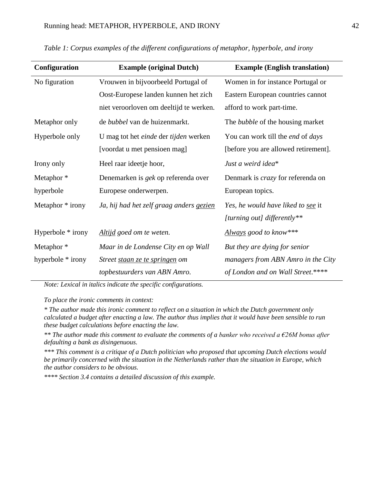| Configuration         | <b>Example (original Dutch)</b>            | <b>Example (English translation)</b>     |
|-----------------------|--------------------------------------------|------------------------------------------|
| No figuration         | Vrouwen in bijvoorbeeld Portugal of        | Women in for instance Portugal or        |
|                       | Oost-Europese landen kunnen het zich       | Eastern European countries cannot        |
|                       | niet veroorloven om deeltijd te werken.    | afford to work part-time.                |
| Metaphor only         | de bubbel van de huizenmarkt.              | The <i>bubble</i> of the housing market  |
| Hyperbole only        | U mag tot het einde der tijden werken      | You can work till the end of days        |
|                       | [voordat u met pensioen mag]               | [before you are allowed retirement].     |
| Irony only            | Heel raar ideetje hoor,                    | Just a weird idea*                       |
| Metaphor*             | Denemarken is <i>gek</i> op referenda over | Denmark is <i>crazy</i> for referenda on |
| hyperbole             | Europese onderwerpen.                      | European topics.                         |
| Metaphor * irony      | Ja, hij had het zelf graag anders gezien   | Yes, he would have liked to see it       |
|                       |                                            | [turning out] differently**              |
| Hyperbole * irony     | Altijd goed om te weten.                   | Always good to know***                   |
| Metaphor <sup>*</sup> | Maar in de Londense City en op Wall        | But they are dying for senior            |
| hyperbole * irony     | Street staan ze te springen om             | managers from ABN Amro in the City       |
|                       | topbestuurders van ABN Amro.               | of London and on Wall Street.****        |

*Table 1: Corpus examples of the different configurations of metaphor, hyperbole, and irony*

*Note: Lexical in italics indicate the specific configurations.* 

*To place the ironic comments in context:*

*\* The author made this ironic comment to reflect on a situation in which the Dutch government only calculated a budget after enacting a law. The author thus implies that it would have been sensible to run these budget calculations before enacting the law.* 

*\*\* The author made this comment to evaluate the comments of a banker who received a €26M bonus after defaulting a bank as disingenuous.* 

*\*\*\* This comment is a critique of a Dutch politician who proposed that upcoming Dutch elections would be primarily concerned with the situation in the Netherlands rather than the situation in Europe, which the author considers to be obvious.* 

*\*\*\*\* Section 3.4 contains a detailed discussion of this example.*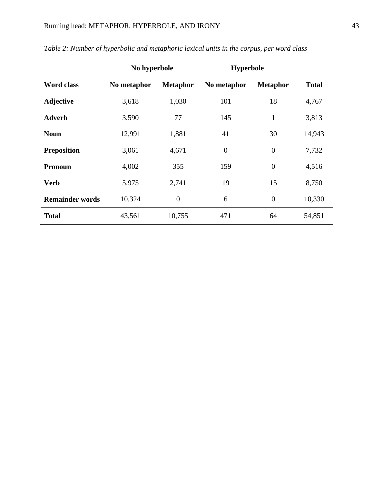|                        | No hyperbole |                  | <b>Hyperbole</b> |                 |              |
|------------------------|--------------|------------------|------------------|-----------------|--------------|
| <b>Word class</b>      | No metaphor  | <b>Metaphor</b>  | No metaphor      | <b>Metaphor</b> | <b>Total</b> |
| <b>Adjective</b>       | 3,618        | 1,030            | 101              | 18              | 4,767        |
| <b>Adverb</b>          | 3,590        | 77               | 145              | $\mathbf{1}$    | 3,813        |
| <b>Noun</b>            | 12,991       | 1,881            | 41               | 30              | 14,943       |
| <b>Preposition</b>     | 3,061        | 4,671            | $\overline{0}$   | $\overline{0}$  | 7,732        |
| <b>Pronoun</b>         | 4,002        | 355              | 159              | $\overline{0}$  | 4,516        |
| <b>Verb</b>            | 5,975        | 2,741            | 19               | 15              | 8,750        |
| <b>Remainder words</b> | 10,324       | $\boldsymbol{0}$ | 6                | $\overline{0}$  | 10,330       |
| <b>Total</b>           | 43,561       | 10,755           | 471              | 64              | 54,851       |

# *Table 2: Number of hyperbolic and metaphoric lexical units in the corpus, per word class*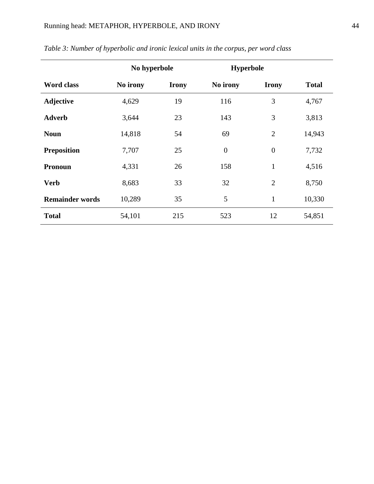|                        | No hyperbole |              | <b>Hyperbole</b> |                |              |  |
|------------------------|--------------|--------------|------------------|----------------|--------------|--|
| <b>Word class</b>      | No irony     | <b>Irony</b> | No irony         | <b>Irony</b>   | <b>Total</b> |  |
| <b>Adjective</b>       | 4,629        | 19           | 116              | 3              | 4,767        |  |
| <b>Adverb</b>          | 3,644        | 23           | 143              | 3              | 3,813        |  |
| <b>Noun</b>            | 14,818       | 54           | 69               | $\overline{2}$ | 14,943       |  |
| <b>Preposition</b>     | 7,707        | 25           | $\overline{0}$   | $\overline{0}$ | 7,732        |  |
| <b>Pronoun</b>         | 4,331        | 26           | 158              | $\mathbf{1}$   | 4,516        |  |
| <b>Verb</b>            | 8,683        | 33           | 32               | $\overline{2}$ | 8,750        |  |
| <b>Remainder words</b> | 10,289       | 35           | 5                | 1              | 10,330       |  |
| <b>Total</b>           | 54,101       | 215          | 523              | 12             | 54,851       |  |

# *Table 3: Number of hyperbolic and ironic lexical units in the corpus, per word class*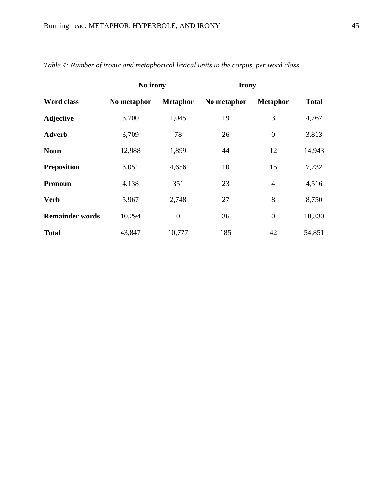| <b>Word class</b>      | No irony    |                 | <b>Irony</b> |                  |              |
|------------------------|-------------|-----------------|--------------|------------------|--------------|
|                        | No metaphor | <b>Metaphor</b> | No metaphor  | <b>Metaphor</b>  | <b>Total</b> |
| <b>Adjective</b>       | 3,700       | 1,045           | 19           | 3                | 4,767        |
| <b>Adverb</b>          | 3,709       | 78              | 26           | $\boldsymbol{0}$ | 3,813        |
| <b>Noun</b>            | 12,988      | 1,899           | 44           | 12               | 14,943       |
| <b>Preposition</b>     | 3,051       | 4,656           | 10           | 15               | 7,732        |
| <b>Pronoun</b>         | 4,138       | 351             | 23           | $\overline{4}$   | 4,516        |
| <b>Verb</b>            | 5,967       | 2,748           | 27           | 8                | 8,750        |
| <b>Remainder words</b> | 10,294      | $\mathbf{0}$    | 36           | $\overline{0}$   | 10,330       |
| <b>Total</b>           | 43,847      | 10,777          | 185          | 42               | 54,851       |

|  |  | Table 4: Number of ironic and metaphorical lexical units in the corpus, per word class |  |
|--|--|----------------------------------------------------------------------------------------|--|
|  |  |                                                                                        |  |